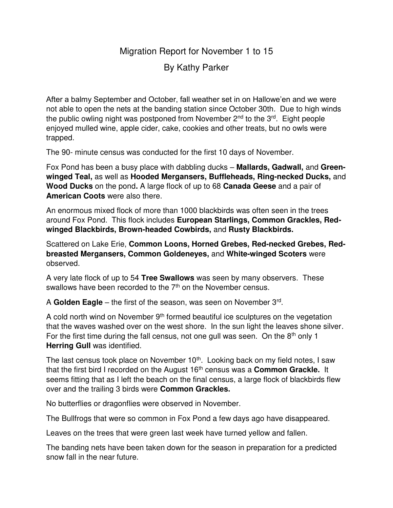Migration Report for November 1 to 15

By Kathy Parker

After a balmy September and October, fall weather set in on Hallowe'en and we were not able to open the nets at the banding station since October 30th. Due to high winds the public owling night was postponed from November  $2<sup>nd</sup>$  to the  $3<sup>rd</sup>$ . Eight people enjoyed mulled wine, apple cider, cake, cookies and other treats, but no owls were trapped.

The 90- minute census was conducted for the first 10 days of November.

Fox Pond has been a busy place with dabbling ducks – **Mallards, Gadwall,** and **Greenwinged Teal,** as well as **Hooded Mergansers, Buffleheads, Ring-necked Ducks,** and **Wood Ducks** on the pond**.** A large flock of up to 68 **Canada Geese** and a pair of **American Coots** were also there.

An enormous mixed flock of more than 1000 blackbirds was often seen in the trees around Fox Pond. This flock includes **European Starlings, Common Grackles, Redwinged Blackbirds, Brown-headed Cowbirds,** and **Rusty Blackbirds.** 

Scattered on Lake Erie, **Common Loons, Horned Grebes, Red-necked Grebes, Redbreasted Mergansers, Common Goldeneyes,** and **White-winged Scoters** were observed.

A very late flock of up to 54 **Tree Swallows** was seen by many observers. These swallows have been recorded to the  $7<sup>th</sup>$  on the November census.

A **Golden Eagle** – the first of the season, was seen on November 3rd .

A cold north wind on November 9<sup>th</sup> formed beautiful ice sculptures on the vegetation that the waves washed over on the west shore. In the sun light the leaves shone silver. For the first time during the fall census, not one gull was seen. On the  $8<sup>th</sup>$  only 1 **Herring Gull was identified.** 

The last census took place on November 10<sup>th</sup>. Looking back on my field notes, I saw that the first bird I recorded on the August 16<sup>th</sup> census was a **Common Grackle.** It seems fitting that as I left the beach on the final census, a large flock of blackbirds flew over and the trailing 3 birds were **Common Grackles.** 

No butterflies or dragonflies were observed in November.

The Bullfrogs that were so common in Fox Pond a few days ago have disappeared.

Leaves on the trees that were green last week have turned yellow and fallen.

The banding nets have been taken down for the season in preparation for a predicted snow fall in the near future.